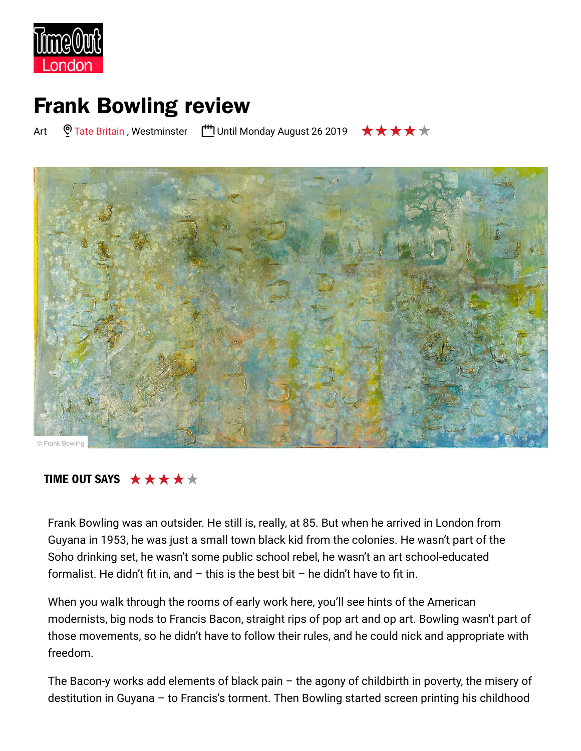

## **Frank Bowling review**

Art  $\heartsuit$  Tate Britain , Westminster  $\Box$ <sup>+</sup> Until Monday August 26 2019  $\qquad \star \star \star \star \star$ 



## TIME OUT SAYS  $\star \star \star \star \star \star$

Frank Bowling was an outsider. He still is, really, at 85. But when he arrived in London from Guyana in 1953, he was just a small town black kid from the colonies. He wasn't part of the Soho drinking set, he wasn't some public school rebel, he wasn't an art school-educated formalist. He didn't fit in, and  $-$  this is the best bit  $-$  he didn't have to fit in.

When you walk through the rooms of early work here, you'll see hints of the American modernists, big nods to Francis Bacon, straight rips of pop art and op art. Bowling wasn't part of those movements, so he didn't have to follow their rules, and he could nick and appropriate with freedom.

The Bacon-y works add elements of black pain  $-$  the agony of childbirth in poverty, the misery of destitution in Guyana  $-$  to Francis's torment. Then Bowling started screen printing his childhood